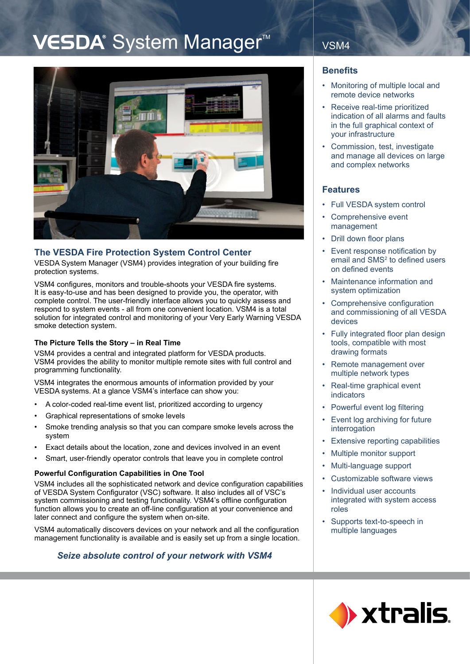# VESDA® System Manager<sup>™</sup>



## **The VESDA Fire Protection System Control Center**

VESDA System Manager (VSM4) provides integration of your building fire protection systems.

VSM4 configures, monitors and trouble-shoots your VESDA fire systems. It is easy-to-use and has been designed to provide you, the operator, with complete control. The user-friendly interface allows you to quickly assess and respond to system events - all from one convenient location. VSM4 is a total solution for integrated control and monitoring of your Very Early Warning VESDA smoke detection system.

#### **The Picture Tells the Story – in Real Time**

VSM4 provides a central and integrated platform for VESDA products. VSM4 provides the ability to monitor multiple remote sites with full control and programming functionality.

VSM4 integrates the enormous amounts of information provided by your VESDA systems. At a glance VSM4's interface can show you:

- A color-coded real-time event list, prioritized according to urgency •
- Graphical representations of smoke levels •
- Smoke trending analysis so that you can compare smoke levels across the system •
- Exact details about the location, zone and devices involved in an event •
- Smart, user-friendly operator controls that leave you in complete control •

#### **Powerful Configuration Capabilities in One Tool**

VSM4 includes all the sophisticated network and device configuration capabilities of VESDA System Configurator (VSC) software. It also includes all of VSC's system commissioning and testing functionality. VSM4's offline configuration function allows you to create an off-line configuration at your convenience and later connect and configure the system when on-site.

VSM4 automatically discovers devices on your network and all the configuration management functionality is available and is easily set up from a single location.

## *Seize absolute control of your network with VSM4*

## VSM4

### **Benefits**

- Monitoring of multiple local and remote device networks
- Receive real-time prioritized indication of all alarms and faults in the full graphical context of your infrastructure •
- Commission, test, investigate and manage all devices on large and complex networks

## **Features**

- Full VESDA system control •
- Comprehensive event management •
- Drill down floor plans •
- Event response notification by email and SMS<sup>2</sup> to defined users on defined events •
- Maintenance information and system optimization •
- Comprehensive configuration and commissioning of all VESDA devices •
- Fully integrated floor plan design tools, compatible with most drawing formats •
- Remote management over multiple network types •
- Real-time graphical event indicators •
- Powerful event log filtering •
- Event log archiving for future interrogation •
- Extensive reporting capabilities •
- Multiple monitor support •
- Multi-language support •
- Customizable software views •
- Individual user accounts integrated with system access roles •
- Supports text-to-speech in multiple languages •